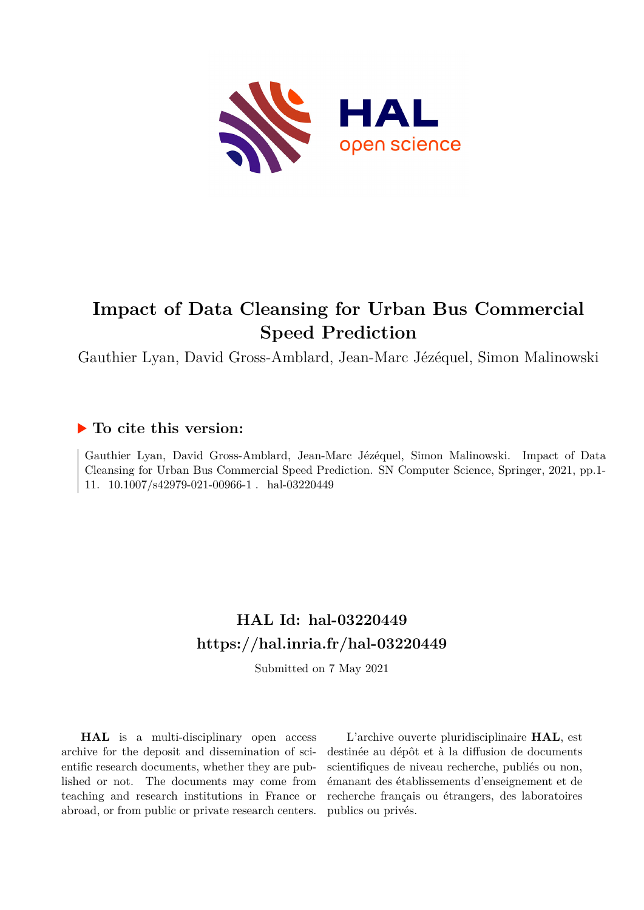

# **Impact of Data Cleansing for Urban Bus Commercial Speed Prediction**

Gauthier Lyan, David Gross-Amblard, Jean-Marc Jézéquel, Simon Malinowski

# **To cite this version:**

Gauthier Lyan, David Gross-Amblard, Jean-Marc Jézéquel, Simon Malinowski. Impact of Data Cleansing for Urban Bus Commercial Speed Prediction. SN Computer Science, Springer, 2021, pp.1- 11.  $10.1007/s42979-021-00966-1$ . hal-03220449

# **HAL Id: hal-03220449 <https://hal.inria.fr/hal-03220449>**

Submitted on 7 May 2021

**HAL** is a multi-disciplinary open access archive for the deposit and dissemination of scientific research documents, whether they are published or not. The documents may come from teaching and research institutions in France or abroad, or from public or private research centers.

L'archive ouverte pluridisciplinaire **HAL**, est destinée au dépôt et à la diffusion de documents scientifiques de niveau recherche, publiés ou non, émanant des établissements d'enseignement et de recherche français ou étrangers, des laboratoires publics ou privés.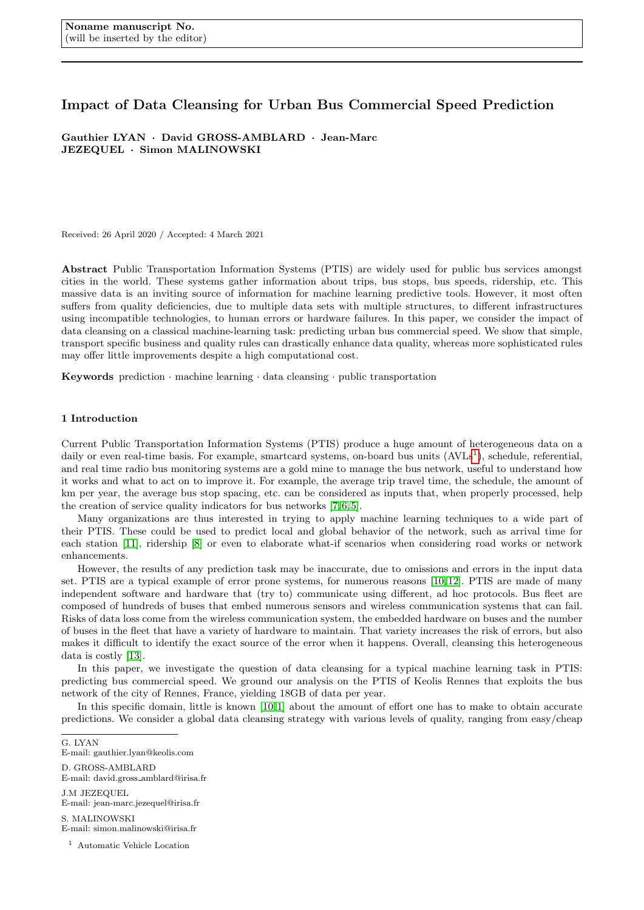# Impact of Data Cleansing for Urban Bus Commercial Speed Prediction

Gauthier LYAN · David GROSS-AMBLARD · Jean-Marc JEZEQUEL · Simon MALINOWSKI

Received: 26 April 2020 / Accepted: 4 March 2021

Abstract Public Transportation Information Systems (PTIS) are widely used for public bus services amongst cities in the world. These systems gather information about trips, bus stops, bus speeds, ridership, etc. This massive data is an inviting source of information for machine learning predictive tools. However, it most often suffers from quality deficiencies, due to multiple data sets with multiple structures, to different infrastructures using incompatible technologies, to human errors or hardware failures. In this paper, we consider the impact of data cleansing on a classical machine-learning task: predicting urban bus commercial speed. We show that simple, transport specific business and quality rules can drastically enhance data quality, whereas more sophisticated rules may offer little improvements despite a high computational cost.

Keywords prediction  $\cdot$  machine learning  $\cdot$  data cleansing  $\cdot$  public transportation

# 1 Introduction

Current Public Transportation Information Systems (PTIS) produce a huge amount of heterogeneous data on a daily or even real-time basis. For example, smartcard systems, on-board bus units (AVLs<sup>1</sup>), schedule, referential, and real time radio bus monitoring systems are a gold mine to manage the bus network, useful to understand how it works and what to act on to improve it. For example, the average trip travel time, the schedule, the amount of km per year, the average bus stop spacing, etc. can be considered as inputs that, when properly processed, help the creation of service quality indicators for bus networks [7, 6, 5].

Many organizations are thus interested in trying to apply machine learning techniques to a wide part of their PTIS. These could be used to predict local and global behavior of the network, such as arrival time for each station [11], ridership [8] or even to elaborate what-if scenarios when considering road works or network enhancements.

However, the results of any prediction task may be inaccurate, due to omissions and errors in the input data set. PTIS are a typical example of error prone systems, for numerous reasons [10, 12]. PTIS are made of many independent software and hardware that (try to) communicate using different, ad hoc protocols. Bus fleet are composed of hundreds of buses that embed numerous sensors and wireless communication systems that can fail. Risks of data loss come from the wireless communication system, the embedded hardware on buses and the number of buses in the fleet that have a variety of hardware to maintain. That variety increases the risk of errors, but also makes it difficult to identify the exact source of the error when it happens. Overall, cleansing this heterogeneous data is costly [13].

In this paper, we investigate the question of data cleansing for a typical machine learning task in PTIS: predicting bus commercial speed. We ground our analysis on the PTIS of Keolis Rennes that exploits the bus network of the city of Rennes, France, yielding 18GB of data per year.

In this specific domain, little is known [10,1] about the amount of effort one has to make to obtain accurate predictions. We consider a global data cleansing strategy with various levels of quality, ranging from easy/cheap

- S. MALINOWSKI E-mail: simon.malinowski@irisa.fr
	- <sup>1</sup> Automatic Vehicle Location

G. LYAN

E-mail: gauthier.lyan@keolis.com

D. GROSS-AMBLARD

E-mail: david.gross amblard@irisa.fr

J.M JEZEQUEL E-mail: jean-marc.jezequel@irisa.fr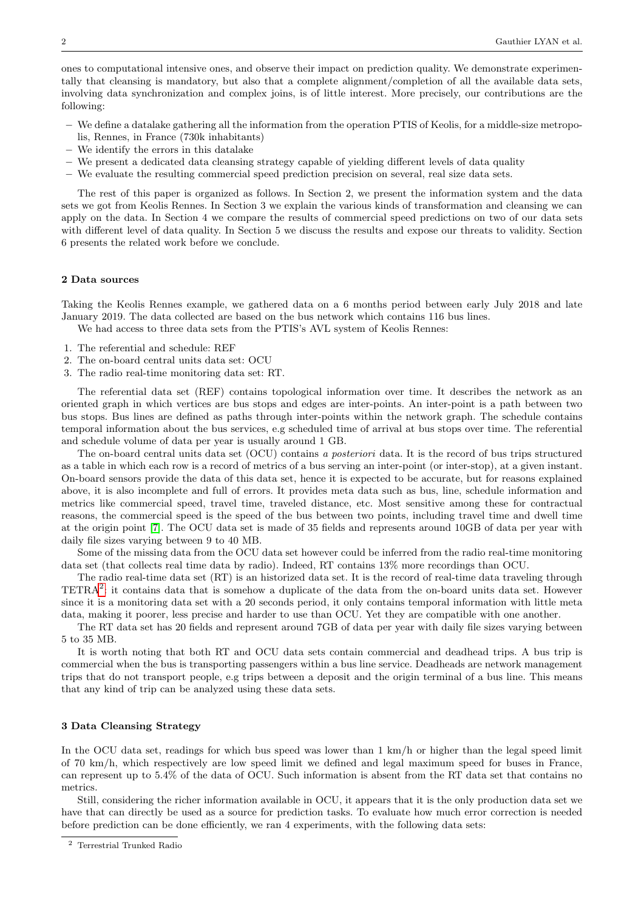ones to computational intensive ones, and observe their impact on prediction quality. We demonstrate experimentally that cleansing is mandatory, but also that a complete alignment/completion of all the available data sets, involving data synchronization and complex joins, is of little interest. More precisely, our contributions are the following:

- We define a datalake gathering all the information from the operation PTIS of Keolis, for a middle-size metropolis, Rennes, in France (730k inhabitants)
- We identify the errors in this datalake
- We present a dedicated data cleansing strategy capable of yielding different levels of data quality
- We evaluate the resulting commercial speed prediction precision on several, real size data sets.

The rest of this paper is organized as follows. In Section 2, we present the information system and the data sets we got from Keolis Rennes. In Section 3 we explain the various kinds of transformation and cleansing we can apply on the data. In Section 4 we compare the results of commercial speed predictions on two of our data sets with different level of data quality. In Section 5 we discuss the results and expose our threats to validity. Section 6 presents the related work before we conclude.

# 2 Data sources

Taking the Keolis Rennes example, we gathered data on a 6 months period between early July 2018 and late January 2019. The data collected are based on the bus network which contains 116 bus lines.

We had access to three data sets from the PTIS's AVL system of Keolis Rennes:

- 1. The referential and schedule: REF
- 2. The on-board central units data set: OCU
- 3. The radio real-time monitoring data set: RT.

The referential data set (REF) contains topological information over time. It describes the network as an oriented graph in which vertices are bus stops and edges are inter-points. An inter-point is a path between two bus stops. Bus lines are defined as paths through inter-points within the network graph. The schedule contains temporal information about the bus services, e.g scheduled time of arrival at bus stops over time. The referential and schedule volume of data per year is usually around 1 GB.

The on-board central units data set (OCU) contains a posteriori data. It is the record of bus trips structured as a table in which each row is a record of metrics of a bus serving an inter-point (or inter-stop), at a given instant. On-board sensors provide the data of this data set, hence it is expected to be accurate, but for reasons explained above, it is also incomplete and full of errors. It provides meta data such as bus, line, schedule information and metrics like commercial speed, travel time, traveled distance, etc. Most sensitive among these for contractual reasons, the commercial speed is the speed of the bus between two points, including travel time and dwell time at the origin point [7]. The OCU data set is made of 35 fields and represents around 10GB of data per year with daily file sizes varying between 9 to 40 MB.

Some of the missing data from the OCU data set however could be inferred from the radio real-time monitoring data set (that collects real time data by radio). Indeed, RT contains 13% more recordings than OCU.

The radio real-time data set (RT) is an historized data set. It is the record of real-time data traveling through  $TETRA<sup>2</sup>$ : it contains data that is somehow a duplicate of the data from the on-board units data set. However since it is a monitoring data set with a 20 seconds period, it only contains temporal information with little meta data, making it poorer, less precise and harder to use than OCU. Yet they are compatible with one another.

The RT data set has 20 fields and represent around 7GB of data per year with daily file sizes varying between 5 to 35 MB.

It is worth noting that both RT and OCU data sets contain commercial and deadhead trips. A bus trip is commercial when the bus is transporting passengers within a bus line service. Deadheads are network management trips that do not transport people, e.g trips between a deposit and the origin terminal of a bus line. This means that any kind of trip can be analyzed using these data sets.

# 3 Data Cleansing Strategy

In the OCU data set, readings for which bus speed was lower than 1 km/h or higher than the legal speed limit of 70 km/h, which respectively are low speed limit we defined and legal maximum speed for buses in France, can represent up to 5.4% of the data of OCU. Such information is absent from the RT data set that contains no metrics.

Still, considering the richer information available in OCU, it appears that it is the only production data set we have that can directly be used as a source for prediction tasks. To evaluate how much error correction is needed before prediction can be done efficiently, we ran 4 experiments, with the following data sets:

<sup>2</sup> Terrestrial Trunked Radio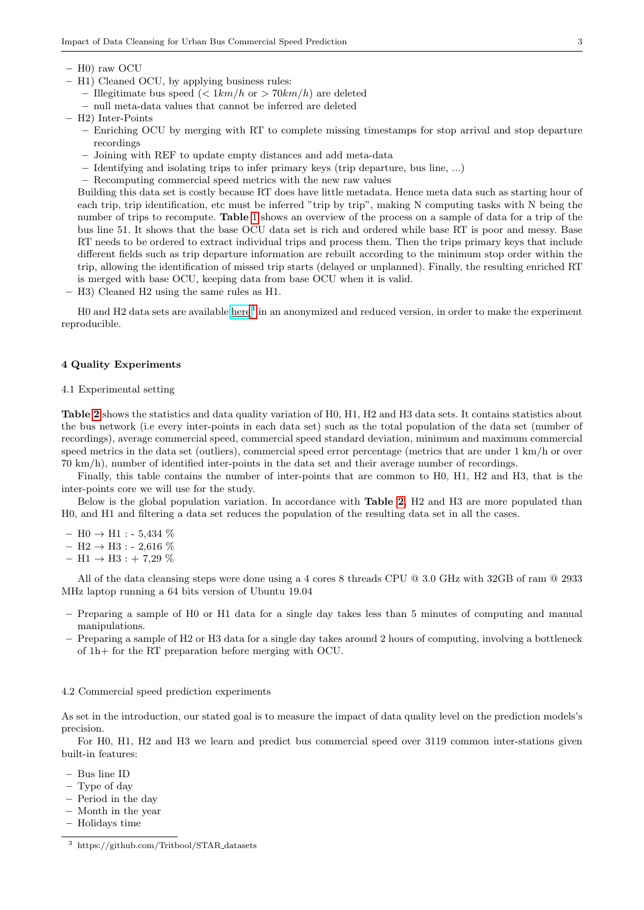- H0) raw OCU
- H1) Cleaned OCU, by applying business rules:
	- Illegitimate bus speed  $\left(\frac{\text{2} \ln(n \cdot h)}{h} \right)$  are deleted
	- null meta-data values that cannot be inferred are deleted

– H2) Inter-Points

- Enriching OCU by merging with RT to complete missing timestamps for stop arrival and stop departure recordings
- Joining with REF to update empty distances and add meta-data
- Identifying and isolating trips to infer primary keys (trip departure, bus line, ...)
- Recomputing commercial speed metrics with the new raw values

Building this data set is costly because RT does have little metadata. Hence meta data such as starting hour of each trip, trip identification, etc must be inferred "trip by trip", making N computing tasks with N being the number of trips to recompute. Table 1 shows an overview of the process on a sample of data for a trip of the bus line 51. It shows that the base OCU data set is rich and ordered while base RT is poor and messy. Base RT needs to be ordered to extract individual trips and process them. Then the trips primary keys that include different fields such as trip departure information are rebuilt according to the minimum stop order within the trip, allowing the identification of missed trip starts (delayed or unplanned). Finally, the resulting enriched RT is merged with base OCU, keeping data from base OCU when it is valid.

– H3) Cleaned H2 using the same rules as H1.

H0 and H2 data sets are available [here](https://github.com/Tritbool/STAR_datasets)<sup>3</sup> in an anonymized and reduced version, in order to make the experiment reproducible.

# 4 Quality Experiments

### 4.1 Experimental setting

Table 2 shows the statistics and data quality variation of H0, H1, H2 and H3 data sets. It contains statistics about the bus network (i.e every inter-points in each data set) such as the total population of the data set (number of recordings), average commercial speed, commercial speed standard deviation, minimum and maximum commercial speed metrics in the data set (outliers), commercial speed error percentage (metrics that are under 1 km/h or over 70 km/h), number of identified inter-points in the data set and their average number of recordings.

Finally, this table contains the number of inter-points that are common to H0, H1, H2 and H3, that is the inter-points core we will use for the study.

Below is the global population variation. In accordance with Table 2, H2 and H3 are more populated than H0, and H1 and filtering a data set reduces the population of the resulting data set in all the cases.

- $-$  H0  $\rightarrow$  H1 : 5,434 %
- $H2 \rightarrow H3 : -2,616 \%$
- $H1 \rightarrow H3 : + 7,29 \%$

All of the data cleansing steps were done using a 4 cores 8 threads CPU @ 3.0 GHz with 32GB of ram @ 2933 MHz laptop running a 64 bits version of Ubuntu 19.04

- Preparing a sample of H0 or H1 data for a single day takes less than 5 minutes of computing and manual manipulations.
- Preparing a sample of H2 or H3 data for a single day takes around 2 hours of computing, involving a bottleneck of 1h+ for the RT preparation before merging with OCU.

### 4.2 Commercial speed prediction experiments

As set in the introduction, our stated goal is to measure the impact of data quality level on the prediction models's precision.

For H0, H1, H2 and H3 we learn and predict bus commercial speed over 3119 common inter-stations given built-in features:

- Bus line ID
- Type of day
- Period in the day
- Month in the year
- Holidays time

<sup>3</sup> https://github.com/Tritbool/STAR datasets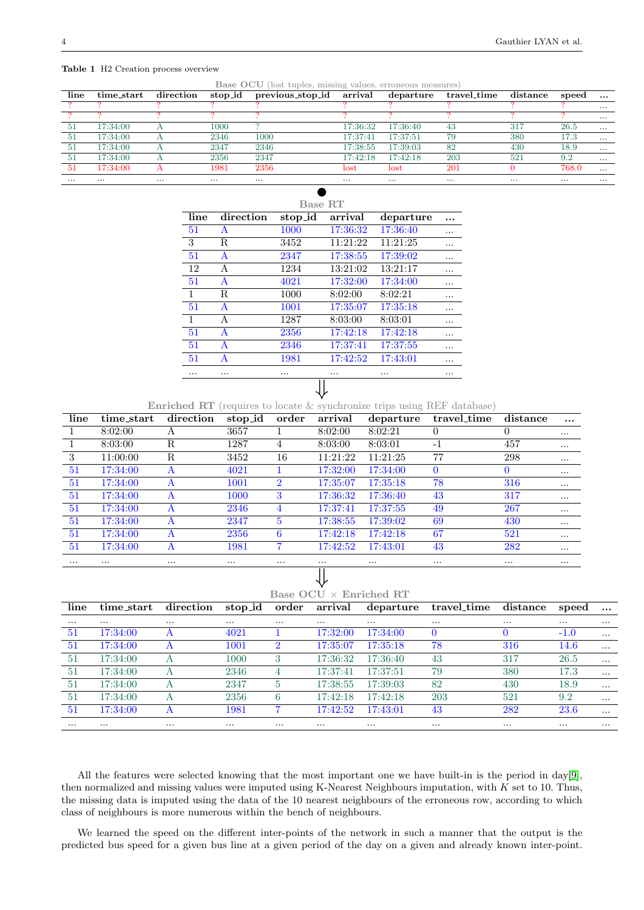#### Table 1 H2 Creation process overview

Base OCU (lost tuples, missing values, erroneous measures)

| line     | $time\_start$ | direction | $stop_id$ | previous_stop_id         | arrival                  | departure | $travel_time$ | distance | speed    | $\cdots$ |
|----------|---------------|-----------|-----------|--------------------------|--------------------------|-----------|---------------|----------|----------|----------|
|          |               |           |           |                          |                          |           |               |          |          | $\cdots$ |
|          |               |           |           |                          |                          |           |               |          |          | $\cdots$ |
| -51      | 17:34:00      |           | 1000      |                          | 17:36:32                 | 17:36:40  | 43            | 317      | 26.5     | $\cdots$ |
| -51      | 17:34:00      |           | 2346      | 1000                     | 17:37:41                 | 17:37:51  | 79            | 380      | 17.3     | $\cdots$ |
| 51       | 17:34:00      |           | 2347      | 2346                     | 17:38:55                 | 17:39:03  | 82            | 430      | 18.9     | $\cdots$ |
| -51      | 17:34:00      |           | 2356      | 2347                     | 17:42:18                 | 17:42:18  | 203           | 521      | 9.2      | $\cdots$ |
| -51      | 17:34:00      |           | 1981      | 2356                     | lost                     | lost      | 201           |          | 768.0    | $\cdots$ |
| $\cdots$ | $\cdots$      | $\cdots$  | $\cdots$  | $\cdots$                 | $\cdots$                 | $\cdots$  | $\cdots$      | $\cdots$ | $\cdots$ | $\cdots$ |
|          |               |           |           |                          |                          |           |               |          |          |          |
|          |               |           |           | $\overline{\phantom{a}}$ | $\overline{\phantom{a}}$ |           |               |          |          |          |

|              |           | Base RT |          |           |   |
|--------------|-----------|---------|----------|-----------|---|
| line         | direction | stop_id | arrival  | departure |   |
| 51           | A         | 1000    | 17:36:32 | 17:36:40  | . |
| 3            | R         | 3452    | 11:21:22 | 11:21:25  | . |
| 51           | A         | 2347    | 17:38:55 | 17:39:02  | . |
| 12           | A         | 1234    | 13:21:02 | 13:21:17  | . |
| 51           | A         | 4021    | 17:32:00 | 17:34:00  | . |
| $\mathbf{1}$ | R         | 1000    | 8:02:00  | 8:02:21   | . |
| 51           | A         | 1001    | 17:35:07 | 17:35:18  | . |
| 1            | A         | 1287    | 8:03:00  | 8:03:01   | . |
| 51           | A         | 2356    | 17:42:18 | 17:42:18  | . |
| 51           | A         | 2346    | 17:37:41 | 17:37:55  | . |
| 51           | A         | 1981    | 17:42:52 | 17:43:01  | . |
| .            | .         |         | .        | .         |   |
|              |           |         |          |           |   |

**Enriched RT** (requires to locate  $\&$  synchronize trips using REF database)

| line     | $time\_start$ | direction | stop_id  | order          | arrival  | departure | travel_time | distance     | $\cdots$ |
|----------|---------------|-----------|----------|----------------|----------|-----------|-------------|--------------|----------|
|          | 8:02:00       | A         | 3657     |                | 8:02:00  | 8:02:21   | 0           | $\left($     | $\cdots$ |
|          | 8:03:00       | R         | 1287     | 4              | 8:03:00  | 8:03:01   | $-1$        | 457          | $\cdots$ |
| 3        | 11:00:00      | R         | 3452     | 16             | 11:21:22 | 11:21:25  | 77          | 298          | $\cdots$ |
| 51       | 17:34:00      | A         | 4021     |                | 17:32:00 | 17:34:00  | $\Omega$    | $\mathbf{0}$ | $\cdots$ |
| 51       | 17:34:00      | A         | 1001     | $\overline{2}$ | 17:35:07 | 17:35:18  | 78          | 316          | $\cdots$ |
| 51       | 17:34:00      | A         | 1000     | 3              | 17:36:32 | 17:36:40  | 43          | 317          | $\cdots$ |
| 51       | 17:34:00      | A         | 2346     | 4              | 17:37:41 | 17:37:55  | 49          | 267          | $\cdots$ |
| 51       | 17:34:00      | A         | 2347     | 5              | 17:38:55 | 17:39:02  | 69          | 430          | $\cdots$ |
| 51       | 17:34:00      | A         | 2356     | 6              | 17:42:18 | 17:42:18  | 67          | 521          | $\cdots$ |
| 51       | 17:34:00      | A         | 1981     |                | 17:42:52 | 17:43:01  | 43          | 282          | $\cdots$ |
| $\cdots$ | $\cdots$      | $\cdots$  | $\cdots$ | $\cdots$       | $\cdots$ | $\cdots$  | $\cdots$    | $\cdots$     | $\cdots$ |
|          |               |           |          |                |          |           |             |              |          |

# Base OCU × Enriched RT

| line     | $time\_start$ | direction | stop_id  | order       | arrival  | departure | travel_time | distance | speed    | $\cdots$ |
|----------|---------------|-----------|----------|-------------|----------|-----------|-------------|----------|----------|----------|
| $\cdots$ | $\cdots$      | $\cdots$  | $\cdots$ | $\cdots$    | $\cdots$ | $\cdots$  | $\cdots$    | $\cdots$ | $\cdots$ | $\cdots$ |
| -51      | 17:34:00      |           | 4021     |             | 17:32:00 | 17:34:00  |             |          | $-1.0$   | $\cdots$ |
| 51       | 17:34:00      |           | $1001\,$ |             | 17:35:07 | 17:35:18  | 78          | 316      | 14.6     | $\cdots$ |
| -51      | 17:34:00      | А         | 1000     |             | 17:36:32 | 17:36:40  | 43          | 317      | 26.5     | $\cdots$ |
| 51       | 17:34:00      |           | 2346     |             | 17:37:41 | 17:37:51  | 79          | 380      | 17.3     | $\cdots$ |
| .51      | 17:34:00      | А         | 2347     | $5^{\circ}$ | 17:38:55 | 17:39:03  | 82          | 430      | 18.9     | $\cdots$ |
| 51       | 17:34:00      | А         | 2356     | 6           | 17:42:18 | 17:42:18  | 203         | 521      | 9.2      | $\cdots$ |
| 51       | 17:34:00      | A         | 1981     |             | 17:42:52 | 17:43:01  | 43          | 282      | 23.6     | $\cdots$ |
| $\cdots$ | $\cdots$      | $\cdots$  | $\cdots$ | $\cdots$    | $\cdots$ | $\cdots$  | $\cdots$    | $\cdots$ | $\cdots$ | $\cdots$ |

All the features were selected knowing that the most important one we have built-in is the period in day[9], then normalized and missing values were imputed using K-Nearest Neighbours imputation, with K set to 10. Thus, the missing data is imputed using the data of the 10 nearest neighbours of the erroneous row, according to which class of neighbours is more numerous within the bench of neighbours.

We learned the speed on the different inter-points of the network in such a manner that the output is the predicted bus speed for a given bus line at a given period of the day on a given and already known inter-point.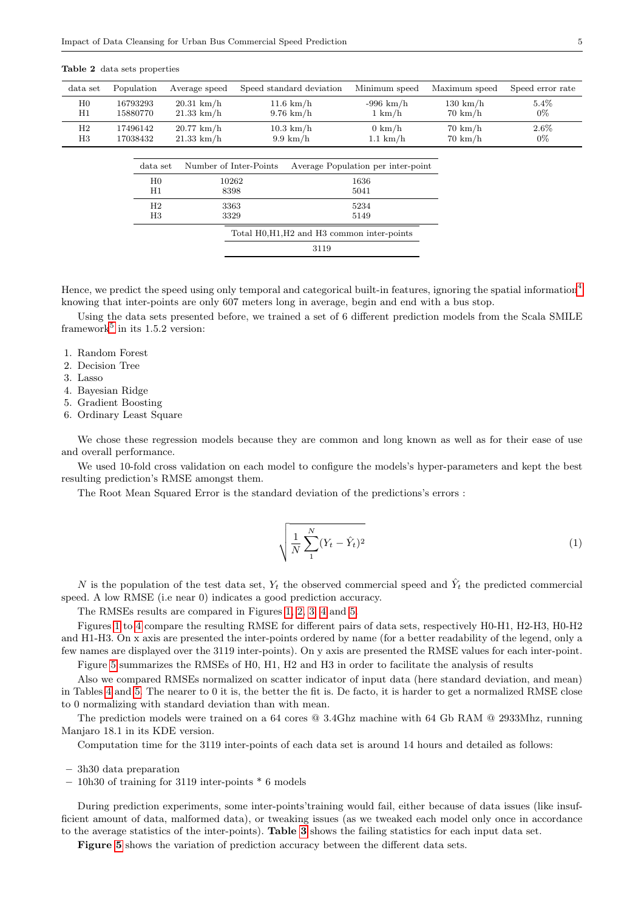| data set                      | Population                    | Average speed                | Speed standard deviation                    | Minimum speed                          | Maximum speed                           | Speed error rate |
|-------------------------------|-------------------------------|------------------------------|---------------------------------------------|----------------------------------------|-----------------------------------------|------------------|
| H <sub>0</sub><br>$_{\rm H1}$ | 16793293<br>15880770          | $20.31$ km/h<br>$21.33$ km/h | $11.6 \text{ km/h}$<br>$9.76 \text{ km/h}$  | $-996$ km/h<br>$1 \text{ km/h}$        | $130 \text{ km/h}$<br>$70 \text{ km/h}$ | $5.4\%$<br>$0\%$ |
| H2<br>H3                      | 17496142<br>17038432          | $20.77$ km/h<br>$21.33$ km/h | $10.3 \text{ km/h}$<br>$9.9 \text{ km/h}$   | $0 \text{ km/h}$<br>$1.1 \text{ km/h}$ | $70 \text{ km/h}$<br>$70 \text{ km/h}$  | $2.6\%$<br>$0\%$ |
|                               | data set                      | Number of Inter-Points       |                                             | Average Population per inter-point     |                                         |                  |
|                               | H <sub>0</sub><br>$_{\rm H1}$ | 10262<br>8398                |                                             | 1636<br>5041                           |                                         |                  |
|                               | H <sub>2</sub><br>H3          | 3363<br>3329                 |                                             | 5234<br>5149                           |                                         |                  |
|                               |                               |                              | Total H0, H1, H2 and H3 common inter-points |                                        |                                         |                  |

#### Table 2 data sets properties

Hence, we predict the speed using only temporal and categorical built-in features, ignoring the spatial information4 knowing that inter-points are only 607 meters long in average, begin and end with a bus stop.

3119

Using the data sets presented before, we trained a set of 6 different prediction models from the Scala SMILE framework<sup>5</sup> in its 1.5.2 version:

- 1. Random Forest
- 2. Decision Tree
- 3. Lasso
- 4. Bayesian Ridge
- 5. Gradient Boosting
- 6. Ordinary Least Square

We chose these regression models because they are common and long known as well as for their ease of use and overall performance.

We used 10-fold cross validation on each model to configure the models's hyper-parameters and kept the best resulting prediction's RMSE amongst them.

The Root Mean Squared Error is the standard deviation of the predictions's errors :

$$
\sqrt{\frac{1}{N}\sum_{1}^{N}(Y_t - \hat{Y}_t)^2}
$$
\n(1)

N is the population of the test data set,  $Y_t$  the observed commercial speed and  $\hat{Y}_t$  the predicted commercial speed. A low RMSE (i.e near 0) indicates a good prediction accuracy.

The RMSEs results are compared in Figures 1, 2, 3, 4 and 5.

Figures 1 to 4 compare the resulting RMSE for different pairs of data sets, respectively H0-H1, H2-H3, H0-H2 and H1-H3. On x axis are presented the inter-points ordered by name (for a better readability of the legend, only a few names are displayed over the 3119 inter-points). On y axis are presented the RMSE values for each inter-point.

Figure 5 summarizes the RMSEs of H0, H1, H2 and H3 in order to facilitate the analysis of results

Also we compared RMSEs normalized on scatter indicator of input data (here standard deviation, and mean) in Tables 4 and 5. The nearer to 0 it is, the better the fit is. De facto, it is harder to get a normalized RMSE close to 0 normalizing with standard deviation than with mean.

The prediction models were trained on a 64 cores @ 3.4Ghz machine with 64 Gb RAM @ 2933Mhz, running Manjaro 18.1 in its KDE version.

Computation time for the 3119 inter-points of each data set is around 14 hours and detailed as follows:

- 3h30 data preparation
- 10h30 of training for 3119 inter-points \* 6 models

During prediction experiments, some inter-points'training would fail, either because of data issues (like insufficient amount of data, malformed data), or tweaking issues (as we tweaked each model only once in accordance to the average statistics of the inter-points). Table 3 shows the failing statistics for each input data set.

Figure 5 shows the variation of prediction accuracy between the different data sets.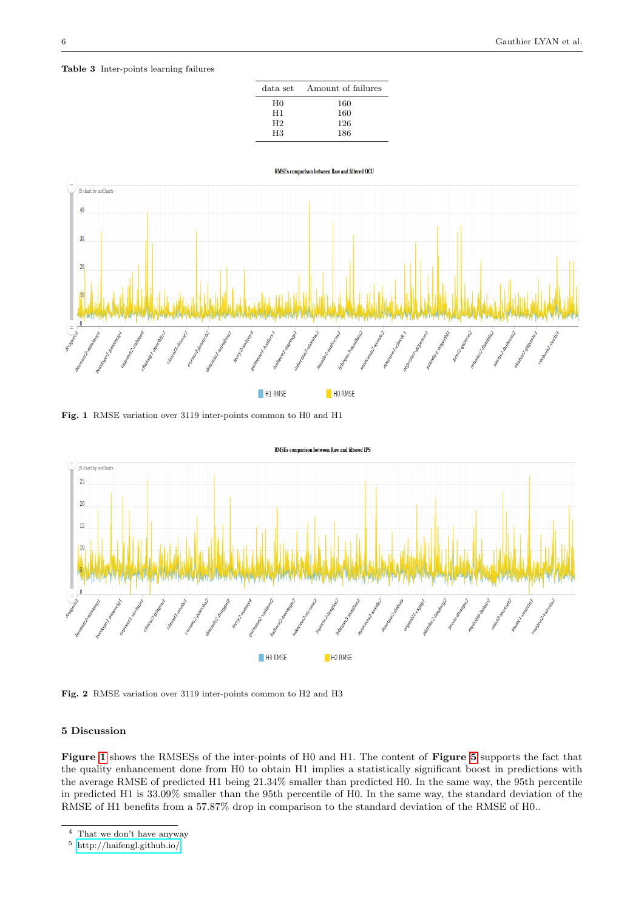Table 3 Inter-points learning failures





Fig. 1 RMSE variation over 3119 inter-points common to H0 and H1





# 5 Discussion

Figure 1 shows the RMSESs of the inter-points of H0 and H1. The content of Figure 5 supports the fact that the quality enhancement done from H0 to obtain H1 implies a statistically significant boost in predictions with the average RMSE of predicted H1 being 21.34% smaller than predicted H0. In the same way, the 95th percentile in predicted H1 is 33.09% smaller than the 95th percentile of H0. In the same way, the standard deviation of the RMSE of H1 benefits from a 57.87% drop in comparison to the standard deviation of the RMSE of H0..

<sup>4</sup> That we don't have anyway

<sup>5</sup> <http://haifengl.github.io/>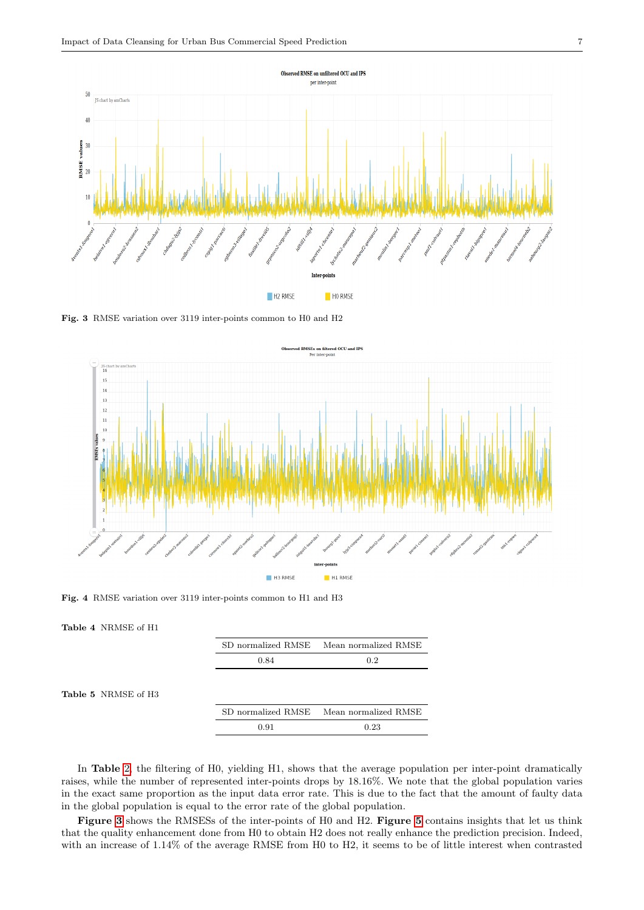

Fig. 3 RMSE variation over 3119 inter-points common to H0 and H2



Fig. 4 RMSE variation over 3119 inter-points common to H1 and H3

Table 4 NRMSE of H1

Table 5 NRMSE of H

| SD normalized RMSE | Mean normalized RMSE |
|--------------------|----------------------|
| 0.84               | 0.2                  |
|                    |                      |
|                    |                      |
|                    |                      |
| SD normalized RMSE | Mean normalized RMSE |

In Table 2, the filtering of H0, yielding H1, shows that the average population per inter-point dramatically raises, while the number of represented inter-points drops by 18.16%. We note that the global population varies in the exact same proportion as the input data error rate. This is due to the fact that the amount of faulty data in the global population is equal to the error rate of the global population.

Figure 3 shows the RMSESs of the inter-points of H0 and H2. Figure 5 contains insights that let us think that the quality enhancement done from H0 to obtain H2 does not really enhance the prediction precision. Indeed, with an increase of 1.14% of the average RMSE from H0 to H2, it seems to be of little interest when contrasted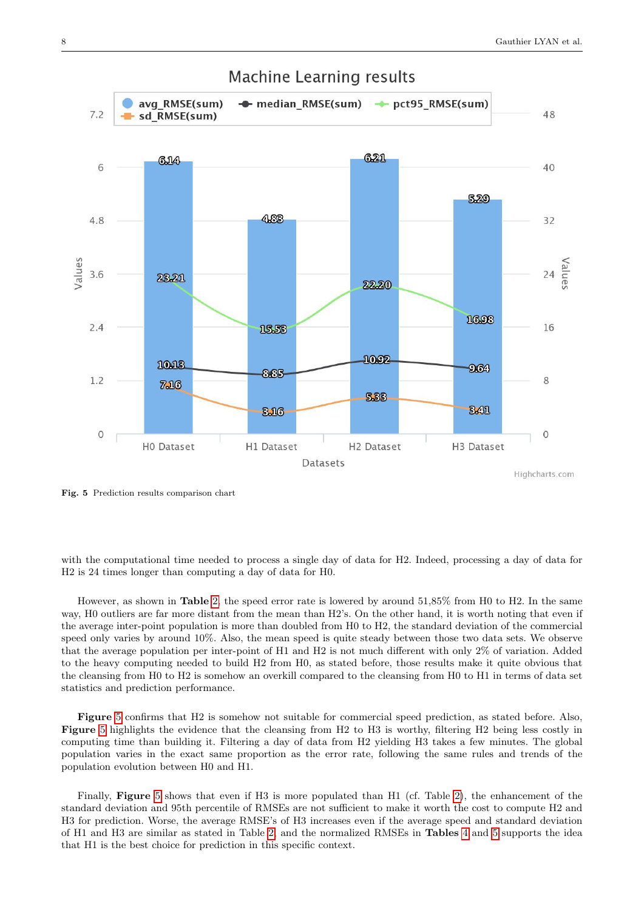

# **Machine Learning results**

Fig. 5 Prediction results comparison chart

with the computational time needed to process a single day of data for H2. Indeed, processing a day of data for H2 is 24 times longer than computing a day of data for H0.

However, as shown in Table 2, the speed error rate is lowered by around 51,85% from H0 to H2. In the same way, H0 outliers are far more distant from the mean than H2's. On the other hand, it is worth noting that even if the average inter-point population is more than doubled from H0 to H2, the standard deviation of the commercial speed only varies by around 10%. Also, the mean speed is quite steady between those two data sets. We observe that the average population per inter-point of H1 and H2 is not much different with only 2% of variation. Added to the heavy computing needed to build H2 from H0, as stated before, those results make it quite obvious that the cleansing from H0 to H2 is somehow an overkill compared to the cleansing from H0 to H1 in terms of data set statistics and prediction performance.

Figure 5 confirms that H2 is somehow not suitable for commercial speed prediction, as stated before. Also, Figure 5 highlights the evidence that the cleansing from H2 to H3 is worthy, filtering H2 being less costly in computing time than building it. Filtering a day of data from H2 yielding H3 takes a few minutes. The global population varies in the exact same proportion as the error rate, following the same rules and trends of the population evolution between H0 and H1.

Finally, Figure 5 shows that even if H3 is more populated than H1 (cf. Table 2), the enhancement of the standard deviation and 95th percentile of RMSEs are not sufficient to make it worth the cost to compute H2 and H3 for prediction. Worse, the average RMSE's of H3 increases even if the average speed and standard deviation of H1 and H3 are similar as stated in Table 2, and the normalized RMSEs in Tables 4 and 5 supports the idea that H1 is the best choice for prediction in this specific context.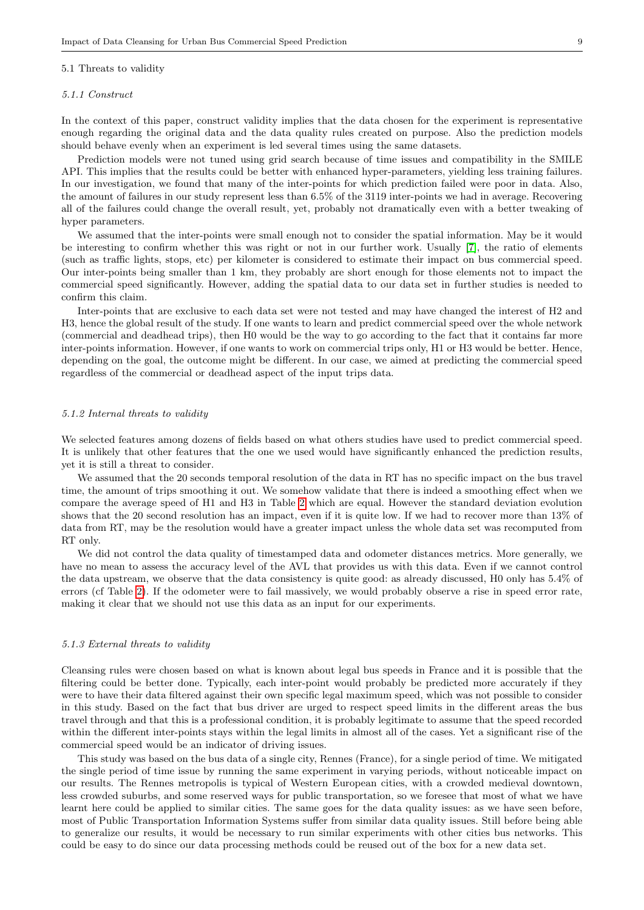#### 5.1 Threats to validity

#### 5.1.1 Construct

In the context of this paper, construct validity implies that the data chosen for the experiment is representative enough regarding the original data and the data quality rules created on purpose. Also the prediction models should behave evenly when an experiment is led several times using the same datasets.

Prediction models were not tuned using grid search because of time issues and compatibility in the SMILE API. This implies that the results could be better with enhanced hyper-parameters, yielding less training failures. In our investigation, we found that many of the inter-points for which prediction failed were poor in data. Also, the amount of failures in our study represent less than 6.5% of the 3119 inter-points we had in average. Recovering all of the failures could change the overall result, yet, probably not dramatically even with a better tweaking of hyper parameters.

We assumed that the inter-points were small enough not to consider the spatial information. May be it would be interesting to confirm whether this was right or not in our further work. Usually [7], the ratio of elements (such as traffic lights, stops, etc) per kilometer is considered to estimate their impact on bus commercial speed. Our inter-points being smaller than 1 km, they probably are short enough for those elements not to impact the commercial speed significantly. However, adding the spatial data to our data set in further studies is needed to confirm this claim.

Inter-points that are exclusive to each data set were not tested and may have changed the interest of H2 and H3, hence the global result of the study. If one wants to learn and predict commercial speed over the whole network (commercial and deadhead trips), then H0 would be the way to go according to the fact that it contains far more inter-points information. However, if one wants to work on commercial trips only, H1 or H3 would be better. Hence, depending on the goal, the outcome might be different. In our case, we aimed at predicting the commercial speed regardless of the commercial or deadhead aspect of the input trips data.

#### 5.1.2 Internal threats to validity

We selected features among dozens of fields based on what others studies have used to predict commercial speed. It is unlikely that other features that the one we used would have significantly enhanced the prediction results, yet it is still a threat to consider.

We assumed that the 20 seconds temporal resolution of the data in RT has no specific impact on the bus travel time, the amount of trips smoothing it out. We somehow validate that there is indeed a smoothing effect when we compare the average speed of H1 and H3 in Table 2 which are equal. However the standard deviation evolution shows that the 20 second resolution has an impact, even if it is quite low. If we had to recover more than 13% of data from RT, may be the resolution would have a greater impact unless the whole data set was recomputed from RT only.

We did not control the data quality of timestamped data and odometer distances metrics. More generally, we have no mean to assess the accuracy level of the AVL that provides us with this data. Even if we cannot control the data upstream, we observe that the data consistency is quite good: as already discussed, H0 only has 5.4% of errors (cf Table 2). If the odometer were to fail massively, we would probably observe a rise in speed error rate, making it clear that we should not use this data as an input for our experiments.

#### 5.1.3 External threats to validity

Cleansing rules were chosen based on what is known about legal bus speeds in France and it is possible that the filtering could be better done. Typically, each inter-point would probably be predicted more accurately if they were to have their data filtered against their own specific legal maximum speed, which was not possible to consider in this study. Based on the fact that bus driver are urged to respect speed limits in the different areas the bus travel through and that this is a professional condition, it is probably legitimate to assume that the speed recorded within the different inter-points stays within the legal limits in almost all of the cases. Yet a significant rise of the commercial speed would be an indicator of driving issues.

This study was based on the bus data of a single city, Rennes (France), for a single period of time. We mitigated the single period of time issue by running the same experiment in varying periods, without noticeable impact on our results. The Rennes metropolis is typical of Western European cities, with a crowded medieval downtown, less crowded suburbs, and some reserved ways for public transportation, so we foresee that most of what we have learnt here could be applied to similar cities. The same goes for the data quality issues: as we have seen before, most of Public Transportation Information Systems suffer from similar data quality issues. Still before being able to generalize our results, it would be necessary to run similar experiments with other cities bus networks. This could be easy to do since our data processing methods could be reused out of the box for a new data set.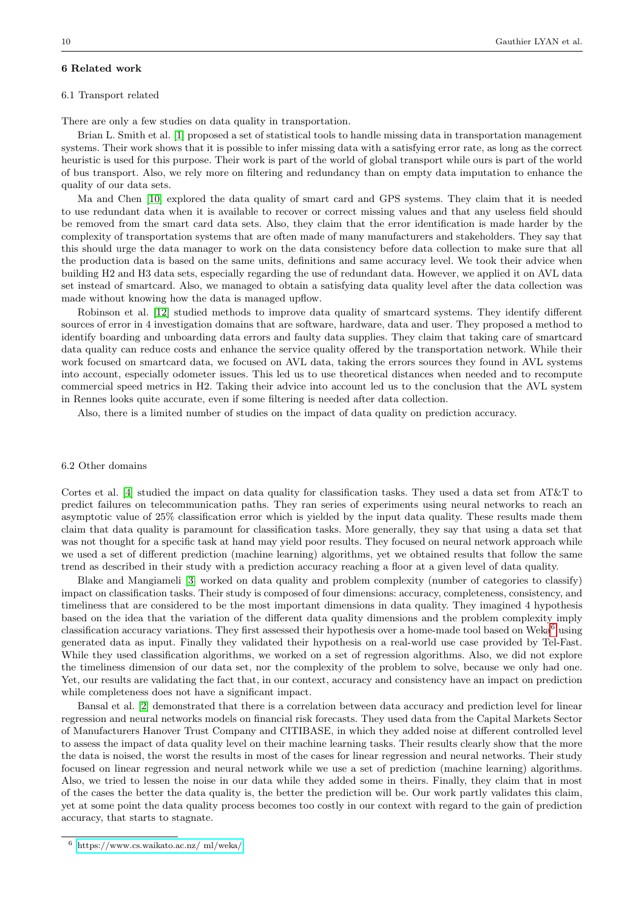# 6 Related work

## 6.1 Transport related

There are only a few studies on data quality in transportation.

Brian L. Smith et al. [1] proposed a set of statistical tools to handle missing data in transportation management systems. Their work shows that it is possible to infer missing data with a satisfying error rate, as long as the correct heuristic is used for this purpose. Their work is part of the world of global transport while ours is part of the world of bus transport. Also, we rely more on filtering and redundancy than on empty data imputation to enhance the quality of our data sets.

Ma and Chen [10] explored the data quality of smart card and GPS systems. They claim that it is needed to use redundant data when it is available to recover or correct missing values and that any useless field should be removed from the smart card data sets. Also, they claim that the error identification is made harder by the complexity of transportation systems that are often made of many manufacturers and stakeholders. They say that this should urge the data manager to work on the data consistency before data collection to make sure that all the production data is based on the same units, definitions and same accuracy level. We took their advice when building H2 and H3 data sets, especially regarding the use of redundant data. However, we applied it on AVL data set instead of smartcard. Also, we managed to obtain a satisfying data quality level after the data collection was made without knowing how the data is managed upflow.

Robinson et al. [12] studied methods to improve data quality of smartcard systems. They identify different sources of error in 4 investigation domains that are software, hardware, data and user. They proposed a method to identify boarding and unboarding data errors and faulty data supplies. They claim that taking care of smartcard data quality can reduce costs and enhance the service quality offered by the transportation network. While their work focused on smartcard data, we focused on AVL data, taking the errors sources they found in AVL systems into account, especially odometer issues. This led us to use theoretical distances when needed and to recompute commercial speed metrics in H2. Taking their advice into account led us to the conclusion that the AVL system in Rennes looks quite accurate, even if some filtering is needed after data collection.

Also, there is a limited number of studies on the impact of data quality on prediction accuracy.

# 6.2 Other domains

Cortes et al. [4] studied the impact on data quality for classification tasks. They used a data set from AT&T to predict failures on telecommunication paths. They ran series of experiments using neural networks to reach an asymptotic value of 25% classification error which is yielded by the input data quality. These results made them claim that data quality is paramount for classification tasks. More generally, they say that using a data set that was not thought for a specific task at hand may yield poor results. They focused on neural network approach while we used a set of different prediction (machine learning) algorithms, yet we obtained results that follow the same trend as described in their study with a prediction accuracy reaching a floor at a given level of data quality.

Blake and Mangiameli [3] worked on data quality and problem complexity (number of categories to classify) impact on classification tasks. Their study is composed of four dimensions: accuracy, completeness, consistency, and timeliness that are considered to be the most important dimensions in data quality. They imagined 4 hypothesis based on the idea that the variation of the different data quality dimensions and the problem complexity imply classification accuracy variations. They first assessed their hypothesis over a home-made tool based on Weka $^6$  using generated data as input. Finally they validated their hypothesis on a real-world use case provided by Tel-Fast. While they used classification algorithms, we worked on a set of regression algorithms. Also, we did not explore the timeliness dimension of our data set, nor the complexity of the problem to solve, because we only had one. Yet, our results are validating the fact that, in our context, accuracy and consistency have an impact on prediction while completeness does not have a significant impact.

Bansal et al. [2] demonstrated that there is a correlation between data accuracy and prediction level for linear regression and neural networks models on financial risk forecasts. They used data from the Capital Markets Sector of Manufacturers Hanover Trust Company and CITIBASE, in which they added noise at different controlled level to assess the impact of data quality level on their machine learning tasks. Their results clearly show that the more the data is noised, the worst the results in most of the cases for linear regression and neural networks. Their study focused on linear regression and neural network while we use a set of prediction (machine learning) algorithms. Also, we tried to lessen the noise in our data while they added some in theirs. Finally, they claim that in most of the cases the better the data quality is, the better the prediction will be. Our work partly validates this claim, yet at some point the data quality process becomes too costly in our context with regard to the gain of prediction accuracy, that starts to stagnate.

<sup>6</sup> [https://www.cs.waikato.ac.nz/ ml/weka/](https://www.cs.waikato.ac.nz/~ml/weka/)